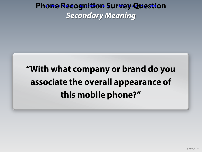#### Pho<del>ne Recognition S</del>urvey Question *Secondary Meaning*

# **"With what company or brand do you associate the overall appearance of this mobile phone?"**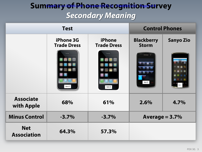## Sum<del>mary of Phone Recognition Su</del>rvey *Secondary Meaning*

| <b>Test</b>                      |                                        |                                     | <b>Control Phones</b>             |                  |
|----------------------------------|----------------------------------------|-------------------------------------|-----------------------------------|------------------|
|                                  | <b>iPhone 3G</b><br><b>Trade Dress</b> | <b>iPhone</b><br><b>Trade Dress</b> | <b>Blackberry</b><br><b>Storm</b> | <b>Sanyo Zio</b> |
|                                  | Item C                                 | Item X                              | Item E                            |                  |
| <b>Associate</b><br>with Apple   | 68%                                    | 61%                                 | 2.6%                              | 4.7%             |
| <b>Minus Control</b>             | $-3.7%$                                | $-3.7%$                             | Average = $3.7\%$                 |                  |
| <b>Net</b><br><b>Association</b> | 64.3%                                  | 57.3%                               |                                   |                  |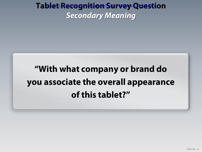#### Tab<del>le</del>t Recognition Survey Question *Secondary Meaning*

# **"With what company or brand do you associate the overall appearance of this tablet?"**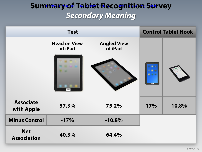### Sum<del>mary of Ta</del>blet Recognition Survey *Secondary Meaning*

| <b>Test</b>                      |                                |                               | <b>Control Tablet Nook</b> |       |
|----------------------------------|--------------------------------|-------------------------------|----------------------------|-------|
|                                  | <b>Head on View</b><br>of iPad | <b>Angled View</b><br>of iPad |                            |       |
|                                  | Item F                         |                               |                            |       |
| <b>Associate</b><br>with Apple   | 57.3%                          | 75.2%                         | 17%                        | 10.8% |
| <b>Minus Control</b>             | $-17%$                         | $-10.8%$                      |                            |       |
| <b>Net</b><br><b>Association</b> | 40.3%                          | 64.4%                         |                            |       |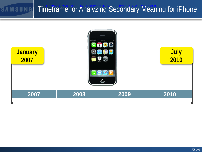#### Timeframe for Analyzing Secondary Meaning for iPhone SAMSUNG

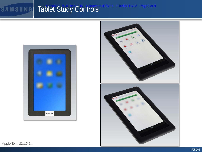# Tablet Study Controls Filed08/11/12 Page7 of 8